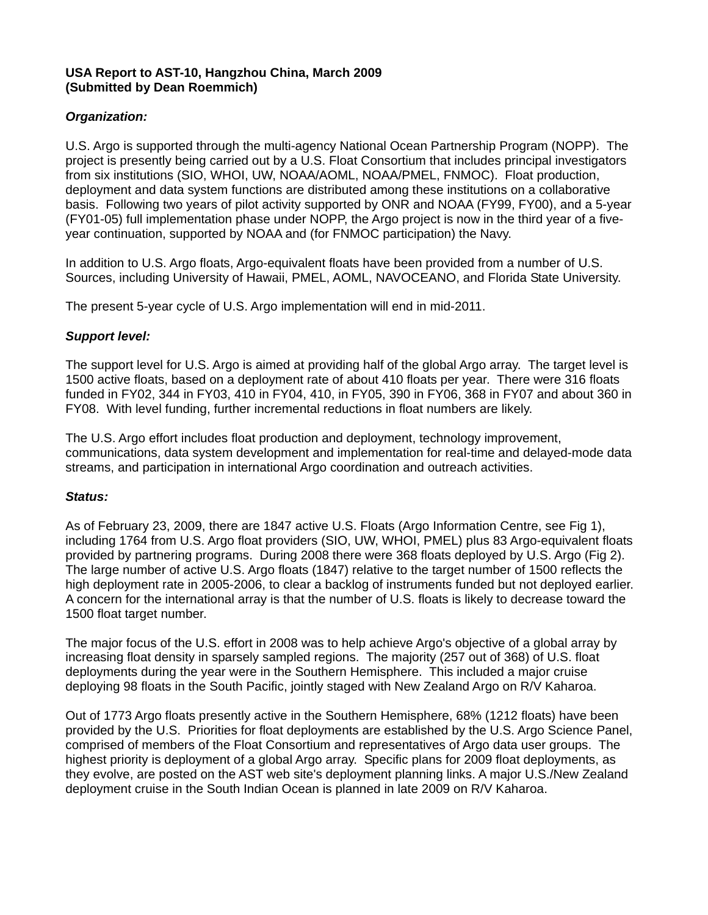### **USA Report to AST-10, Hangzhou China, March 2009 (Submitted by Dean Roemmich)**

## *Organization:*

U.S. Argo is supported through the multi-agency National Ocean Partnership Program (NOPP). The project is presently being carried out by a U.S. Float Consortium that includes principal investigators from six institutions (SIO, WHOI, UW, NOAA/AOML, NOAA/PMEL, FNMOC). Float production, deployment and data system functions are distributed among these institutions on a collaborative basis. Following two years of pilot activity supported by ONR and NOAA (FY99, FY00), and a 5-year (FY01-05) full implementation phase under NOPP, the Argo project is now in the third year of a fiveyear continuation, supported by NOAA and (for FNMOC participation) the Navy.

In addition to U.S. Argo floats, Argo-equivalent floats have been provided from a number of U.S. Sources, including University of Hawaii, PMEL, AOML, NAVOCEANO, and Florida State University.

The present 5-year cycle of U.S. Argo implementation will end in mid-2011.

## *Support level:*

The support level for U.S. Argo is aimed at providing half of the global Argo array. The target level is 1500 active floats, based on a deployment rate of about 410 floats per year. There were 316 floats funded in FY02, 344 in FY03, 410 in FY04, 410, in FY05, 390 in FY06, 368 in FY07 and about 360 in FY08. With level funding, further incremental reductions in float numbers are likely.

The U.S. Argo effort includes float production and deployment, technology improvement, communications, data system development and implementation for real-time and delayed-mode data streams, and participation in international Argo coordination and outreach activities.

#### *Status:*

As of February 23, 2009, there are 1847 active U.S. Floats (Argo Information Centre, see Fig 1), including 1764 from U.S. Argo float providers (SIO, UW, WHOI, PMEL) plus 83 Argo-equivalent floats provided by partnering programs. During 2008 there were 368 floats deployed by U.S. Argo (Fig 2). The large number of active U.S. Argo floats (1847) relative to the target number of 1500 reflects the high deployment rate in 2005-2006, to clear a backlog of instruments funded but not deployed earlier. A concern for the international array is that the number of U.S. floats is likely to decrease toward the 1500 float target number.

The major focus of the U.S. effort in 2008 was to help achieve Argo's objective of a global array by increasing float density in sparsely sampled regions. The majority (257 out of 368) of U.S. float deployments during the year were in the Southern Hemisphere. This included a major cruise deploying 98 floats in the South Pacific, jointly staged with New Zealand Argo on R/V Kaharoa.

Out of 1773 Argo floats presently active in the Southern Hemisphere, 68% (1212 floats) have been provided by the U.S. Priorities for float deployments are established by the U.S. Argo Science Panel, comprised of members of the Float Consortium and representatives of Argo data user groups. The highest priority is deployment of a global Argo array. Specific plans for 2009 float deployments, as they evolve, are posted on the AST web site's deployment planning links. A major U.S./New Zealand deployment cruise in the South Indian Ocean is planned in late 2009 on R/V Kaharoa.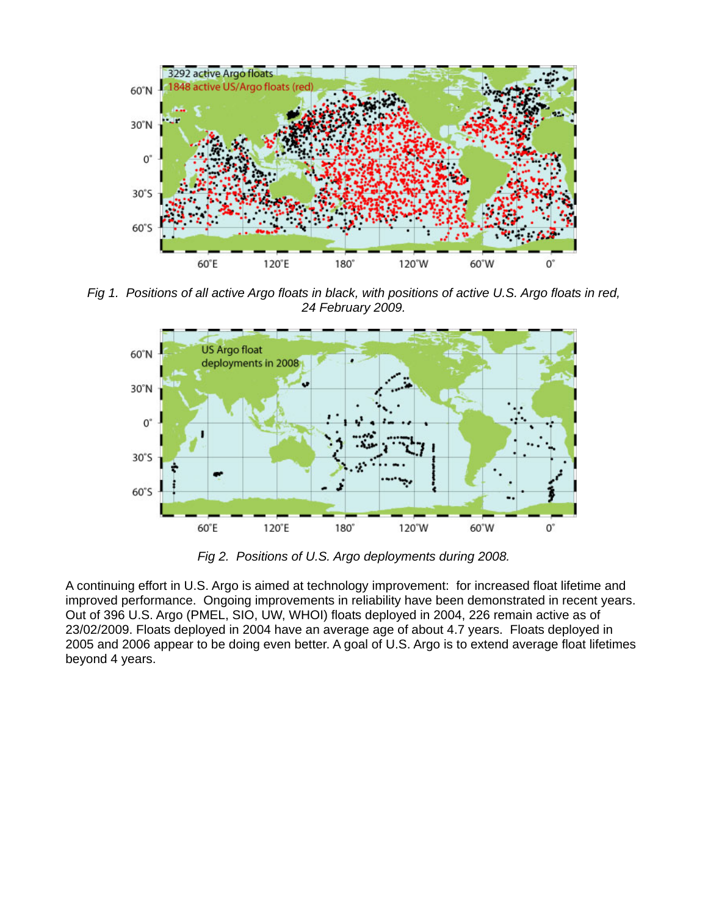

*Fig 1. Positions of all active Argo floats in black, with positions of active U.S. Argo floats in red, 24 February 2009.* 



*Fig 2. Positions of U.S. Argo deployments during 2008.* 

A continuing effort in U.S. Argo is aimed at technology improvement: for increased float lifetime and improved performance. Ongoing improvements in reliability have been demonstrated in recent years. Out of 396 U.S. Argo (PMEL, SIO, UW, WHOI) floats deployed in 2004, 226 remain active as of 23/02/2009. Floats deployed in 2004 have an average age of about 4.7 years. Floats deployed in 2005 and 2006 appear to be doing even better. A goal of U.S. Argo is to extend average float lifetimes beyond 4 years.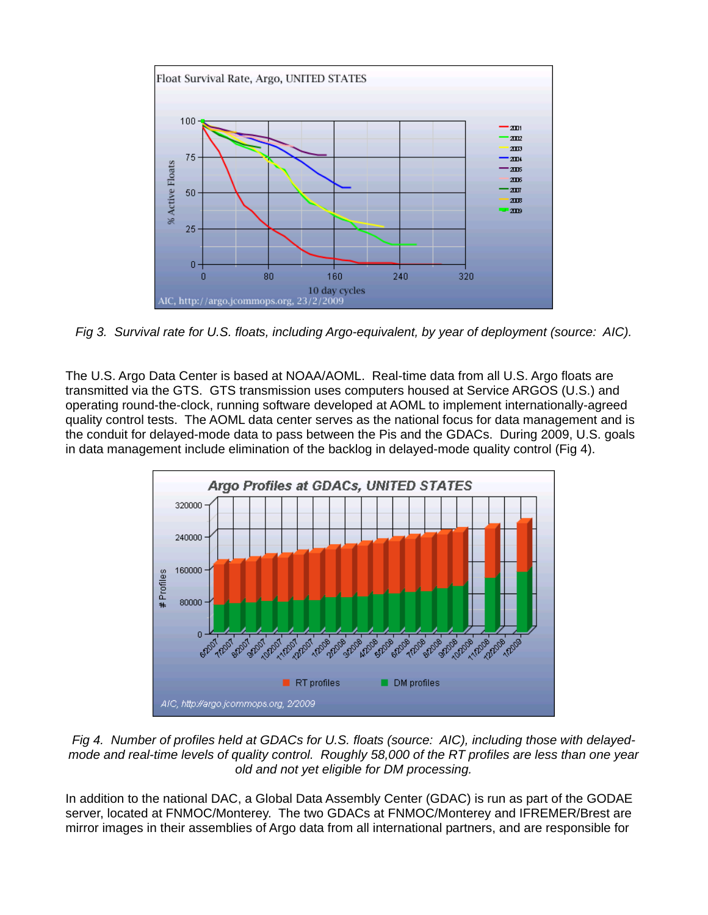

*Fig 3. Survival rate for U.S. floats, including Argo-equivalent, by year of deployment (source: AIC).* 

The U.S. Argo Data Center is based at NOAA/AOML. Real-time data from all U.S. Argo floats are transmitted via the GTS. GTS transmission uses computers housed at Service ARGOS (U.S.) and operating round-the-clock, running software developed at AOML to implement internationally-agreed quality control tests. The AOML data center serves as the national focus for data management and is the conduit for delayed-mode data to pass between the Pis and the GDACs. During 2009, U.S. goals in data management include elimination of the backlog in delayed-mode quality control (Fig 4).



*Fig 4. Number of profiles held at GDACs for U.S. floats (source: AIC), including those with delayedmode and real-time levels of quality control. Roughly 58,000 of the RT profiles are less than one year old and not yet eligible for DM processing.* 

In addition to the national DAC, a Global Data Assembly Center (GDAC) is run as part of the GODAE server, located at FNMOC/Monterey. The two GDACs at FNMOC/Monterey and IFREMER/Brest are mirror images in their assemblies of Argo data from all international partners, and are responsible for